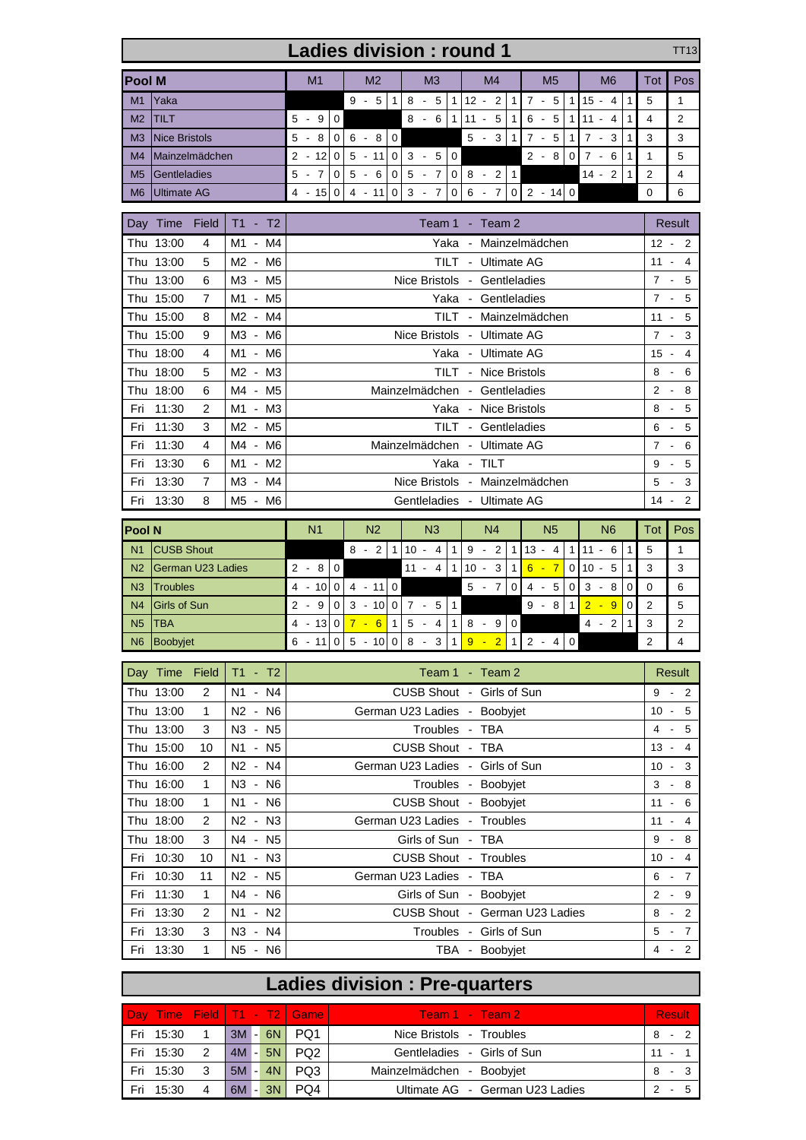| <b>Ladies division: round 1</b>                      |                                                          |                                                                                             |          |                    |                                             |                                              |                |             |                           |                |                                     |                                                   |                | <b>TT13</b>     |                                                           |                    |                |                            |                |                         |                                   |              |                |                     |
|------------------------------------------------------|----------------------------------------------------------|---------------------------------------------------------------------------------------------|----------|--------------------|---------------------------------------------|----------------------------------------------|----------------|-------------|---------------------------|----------------|-------------------------------------|---------------------------------------------------|----------------|-----------------|-----------------------------------------------------------|--------------------|----------------|----------------------------|----------------|-------------------------|-----------------------------------|--------------|----------------|---------------------|
| <b>Pool M</b>                                        |                                                          |                                                                                             |          |                    |                                             | M <sub>1</sub>                               |                |             | M <sub>2</sub>            |                | MЗ                                  |                                                   |                | M4              |                                                           |                    | M <sub>5</sub> |                            |                | M <sub>6</sub>          |                                   |              | Pos            |                     |
| M1                                                   | Yaka                                                     |                                                                                             |          |                    |                                             |                                              |                |             | $9 - 5$                   | $\mathbf{1}$   |                                     | $8 - 5$                                           |                |                 | $1 \vert 12 - 2 \vert$                                    | $\mathbf{1}$       |                | $7 - 5$                    | 1              |                         | $15 - 4$                          | $\mathbf 1$  | 5              | 1                   |
| M <sub>2</sub>                                       | <b>TILT</b>                                              |                                                                                             |          |                    |                                             | $5 - 9$                                      | $\mathbf 0$    |             |                           |                |                                     | $8 - 6$                                           | 11             |                 | $11 - 5$                                                  | 1                  |                | $6 - 5$                    |                |                         | $1 \mid 11 - 4$                   | $\mathbf{1}$ | 4              | 2                   |
| ΜЗ                                                   | <b>Nice Bristols</b>                                     |                                                                                             |          |                    |                                             | $5 - 8$                                      | $\overline{0}$ |             | $6 - 8$                   | 0              |                                     |                                                   |                |                 | $5 -$<br>3                                                | $\mathbf{1}$       |                | $7 - 5$                    | $\mathbf{1}$   |                         | $7 -$<br>3                        | $\mathbf{1}$ | 3              | 3                   |
| M4                                                   | Mainzelmädchen                                           |                                                                                             | $2 - 12$ | $\mathbf 0$        |                                             | $5 - 11$                                     | $\mathbf 0$    |             | $3 - 5$                   | $\overline{0}$ |                                     |                                                   |                |                 | $2 - 8$                                                   | $\mathbf 0$        |                | $7 - 6$                    | $\mathbf{1}$   | 1                       | 5                                 |              |                |                     |
| M <sub>5</sub><br>Gentleladies                       |                                                          |                                                                                             |          |                    |                                             | $5 - 7$                                      | 0              |             | $5 - 6$                   | $\mathbf 0$    |                                     | $5 - 7$                                           | $\overline{0}$ |                 | $8 -$<br>2                                                | $\mathbf{1}$       |                |                            |                |                         | 14 -<br>2                         | $\mathbf{1}$ | $\overline{2}$ | 4                   |
| M6                                                   | <b>Ultimate AG</b>                                       |                                                                                             |          | $4 - 15$           | 0                                           |                                              | $4 - 11$       | $\mathbf 0$ |                           | $3 - 7$        | $\overline{0}$                      |                                                   | $6 - 7$        |                 |                                                           | $0 \ 2 \ - 14 \ 0$ |                |                            |                |                         | 0                                 | 6            |                |                     |
|                                                      | Day Time                                                 | Field                                                                                       | T1 - T2  | Team 1 - Team 2    |                                             |                                              |                |             |                           |                |                                     |                                                   |                |                 |                                                           |                    |                |                            | Result         |                         |                                   |              |                |                     |
|                                                      | Thu 13:00                                                | 4                                                                                           |          | M1 - M4            |                                             | Yaka - Mainzelmädchen                        |                |             |                           |                |                                     |                                                   |                |                 |                                                           |                    |                | $12 - 2$                   |                |                         |                                   |              |                |                     |
|                                                      | Thu 13:00                                                | 5                                                                                           |          | M2 - M6            |                                             | TILT - Ultimate AG                           |                |             |                           |                |                                     |                                                   |                |                 |                                                           |                    |                |                            | $11 - 4$       |                         |                                   |              |                |                     |
|                                                      | Thu 13:00                                                | 6                                                                                           |          | M3 - M5            |                                             | Nice Bristols - Gentleladies                 |                |             |                           |                |                                     |                                                   |                |                 |                                                           |                    |                |                            | $7 - 5$        |                         |                                   |              |                |                     |
|                                                      | Thu 15:00                                                | 7                                                                                           |          | M1 - M5            |                                             | Yaka - Gentleladies                          |                |             |                           |                |                                     |                                                   |                |                 |                                                           |                    |                |                            | $7 -$<br>5     |                         |                                   |              |                |                     |
|                                                      | Thu 15:00                                                | 8                                                                                           |          | M2 - M4            |                                             | TILT - Mainzelmädchen                        |                |             |                           |                |                                     |                                                   |                |                 |                                                           |                    | $11 -$         | 5                          |                |                         |                                   |              |                |                     |
|                                                      | Thu 15:00<br>9<br>M3 - M6<br>Nice Bristols - Ultimate AG |                                                                                             |          |                    |                                             |                                              |                |             |                           |                |                                     |                                                   | $7 -$          | 3               |                                                           |                    |                |                            |                |                         |                                   |              |                |                     |
|                                                      | M1 - M6<br>Yaka - Ultimate AG<br>Thu 18:00<br>4          |                                                                                             |          |                    |                                             |                                              |                |             |                           |                |                                     |                                                   | $15 -$         | 4<br>$8 -$      |                                                           |                    |                |                            |                |                         |                                   |              |                |                     |
|                                                      | M2 - M3<br>TILT - Nice Bristols<br>Thu 18:00<br>5        |                                                                                             |          |                    |                                             |                                              |                |             |                           |                |                                     |                                                   |                | 6<br>$2 -$<br>8 |                                                           |                    |                |                            |                |                         |                                   |              |                |                     |
| Fri                                                  | 11:30                                                    | Thu 18:00<br>6<br>M4 - M5<br>Mainzelmädchen - Gentleladies<br>2<br>M1 - M3                  |          |                    |                                             |                                              |                |             |                           |                |                                     |                                                   | $8 -$          | 5               |                                                           |                    |                |                            |                |                         |                                   |              |                |                     |
| Fri                                                  | 11:30                                                    | 3                                                                                           |          | M2 - M5            | Yaka - Nice Bristols<br>TILT - Gentleladies |                                              |                |             |                           |                |                                     |                                                   |                |                 |                                                           | 6 -                | 5              |                            |                |                         |                                   |              |                |                     |
| Fri                                                  | 11:30                                                    | 4                                                                                           |          | M4 - M6            |                                             | Mainzelmädchen - Ultimate AG                 |                |             |                           |                |                                     |                                                   |                |                 |                                                           |                    | $7 -$          | 6                          |                |                         |                                   |              |                |                     |
| Fri                                                  | 13:30                                                    | 6                                                                                           |          | M1 - M2            |                                             | Yaka - TILT                                  |                |             |                           |                |                                     |                                                   |                |                 |                                                           |                    | 9              | 5<br>$\sim$                |                |                         |                                   |              |                |                     |
| Fri                                                  | 13:30                                                    | M3 - M4<br>Nice Bristols - Mainzelmädchen<br>7                                              |          |                    |                                             |                                              |                |             |                           |                |                                     |                                                   | 5              | 3<br>$\sim$     |                                                           |                    |                |                            |                |                         |                                   |              |                |                     |
| Fri                                                  | Gentleladies - Ultimate AG<br>13:30<br>8<br>M5 - M6      |                                                                                             |          |                    |                                             |                                              |                |             |                           |                |                                     |                                                   | 14 -           | 2               |                                                           |                    |                |                            |                |                         |                                   |              |                |                     |
|                                                      |                                                          |                                                                                             |          |                    |                                             |                                              |                |             |                           |                | Tot                                 | Pos                                               |                |                 |                                                           |                    |                |                            |                |                         |                                   |              |                |                     |
| <b>Pool N</b><br>N <sub>1</sub><br><b>CUSB Shout</b> |                                                          |                                                                                             |          |                    |                                             | N <sub>1</sub>                               |                |             | N <sub>2</sub><br>$8 - 2$ | 1              |                                     | N <sub>3</sub><br>$10 - 4$                        | 11             |                 | N4<br>$9 - 2$                                             | $\mathbf{1}$       |                | N <sub>5</sub><br>$13 - 4$ |                |                         | N <sub>6</sub><br>$1 \mid 11 - 6$ | $\mathbf{1}$ | 5              | 1                   |
| N2<br><b>German U23 Ladies</b>                       |                                                          |                                                                                             |          |                    |                                             | $2 - 8$                                      | $\mathbf 0$    |             |                           |                |                                     | $11 - 4$                                          |                |                 | $1 \ 10 - 3$                                              | $\mathbf{1}$       |                | $6 - 7$                    |                |                         | $0 \mid 10 - 5$                   | $\mathbf{1}$ | 3              | 3                   |
| N3                                                   | Troubles                                                 |                                                                                             |          |                    |                                             | $4 - 10$                                     | 0              |             | $4 - 110$                 |                |                                     |                                                   |                |                 | $5 - 7$                                                   | 0                  |                | $4 - 5$                    | 0              |                         | $3 - 8$                           | 0            | 0              | 6                   |
| N4                                                   | Girls of Sun                                             |                                                                                             |          |                    |                                             | $2 - 9$                                      | $\overline{0}$ |             |                           |                |                                     | $3 - 10 \begin{vmatrix} 0 & 7 & -5 \end{vmatrix}$ | $\mathbf{1}$   |                 |                                                           |                    |                | $9 - 8$                    | $\mathbf{1}$   |                         | $2 - 9$                           | 0            | $\overline{2}$ | 5                   |
| N5                                                   | <b>TBA</b>                                               |                                                                                             |          |                    |                                             | $4 - 13$                                     |                |             | $0 \overline{7 - 6} 1$    |                |                                     | $5 - 4$                                           | 1              |                 | $8 - 9$                                                   | $\mathsf 0$        |                |                            |                |                         | $4 - 2$                           | $\mathbf{1}$ | 3              | 2                   |
| N6 Boobyjet                                          |                                                          | $6 - 11 \begin{vmatrix} 0 & 5 & -10 \end{vmatrix} \begin{vmatrix} 0 & 8 & -3 \end{vmatrix}$ |          |                    |                                             |                                              |                |             |                           |                | $1 \ 9 \cdot 2 \ 1 \ 2 \cdot 4 \ 0$ |                                                   |                |                 |                                                           |                    |                |                            | $\overline{c}$ | $\overline{\mathbf{4}}$ |                                   |              |                |                     |
|                                                      |                                                          |                                                                                             |          |                    |                                             |                                              |                |             |                           |                |                                     |                                                   |                |                 |                                                           |                    |                |                            |                |                         |                                   |              |                |                     |
|                                                      | Day Time Field                                           |                                                                                             |          | $T1 - T2$          |                                             |                                              |                |             |                           |                |                                     |                                                   |                |                 | Team 1 - Team 2                                           |                    |                |                            |                |                         |                                   |              |                | <b>Result</b>       |
|                                                      | Thu 13:00<br>Thu 13:00                                   | 2<br>$\mathbf{1}$                                                                           |          | N1 - N4<br>N2 - N6 |                                             |                                              |                |             |                           |                |                                     |                                                   |                |                 | CUSB Shout - Girls of Sun<br>German U23 Ladies - Boobyjet |                    |                |                            |                |                         |                                   |              |                | $9 - 2$<br>$10 - 5$ |
|                                                      | Thu 13:00                                                | 3                                                                                           |          | N3 - N5            |                                             |                                              |                |             |                           |                |                                     |                                                   |                |                 | Troubles - TBA                                            |                    |                |                            |                |                         |                                   |              |                | $4 - 5$             |
|                                                      | Thu 15:00                                                | 10                                                                                          |          | N1 - N5            |                                             |                                              |                |             |                           |                |                                     |                                                   |                |                 | CUSB Shout - TBA                                          |                    |                |                            |                |                         |                                   |              |                | $13 - 4$            |
|                                                      | Thu 16:00                                                | 2                                                                                           |          | N2 - N4            |                                             |                                              |                |             |                           |                |                                     |                                                   |                |                 | German U23 Ladies - Girls of Sun                          |                    |                |                            |                |                         |                                   |              | $10 -$         | 3                   |
|                                                      | Thu 16:00                                                | 1                                                                                           |          | N3 - N6            |                                             |                                              |                |             |                           |                |                                     |                                                   |                |                 |                                                           |                    |                |                            |                |                         |                                   |              |                | $3 - 8$             |
|                                                      | Thu 18:00                                                | $\mathbf{1}$                                                                                |          | N1 - N6            |                                             | Troubles - Boobyjet<br>CUSB Shout - Boobyjet |                |             |                           |                |                                     |                                                   |                |                 |                                                           |                    | $11 -$         | 6                          |                |                         |                                   |              |                |                     |
|                                                      | Thu 18:00                                                | 2                                                                                           |          | N2 - N3            |                                             |                                              |                |             |                           |                |                                     |                                                   |                |                 | German U23 Ladies - Troubles                              |                    |                |                            |                |                         |                                   |              |                | $11 - 4$            |
|                                                      | Thu 18:00                                                | 3                                                                                           |          | N4 - N5            |                                             |                                              |                |             |                           |                |                                     |                                                   |                |                 | Girls of Sun - TBA                                        |                    |                |                            |                |                         |                                   |              | $9 -$          | 8                   |
|                                                      | Fri 10:30                                                | 10                                                                                          |          | N1 - N3            |                                             |                                              |                |             |                           |                |                                     |                                                   |                |                 | CUSB Shout - Troubles                                     |                    |                |                            |                |                         |                                   |              | $10 -$         | 4                   |
| Fri                                                  | 10:30                                                    | 11                                                                                          |          | N2 - N5            |                                             |                                              |                |             |                           |                |                                     |                                                   |                |                 | German U23 Ladies - TBA                                   |                    |                |                            |                |                         |                                   |              |                | $6 - 7$             |
| Fri                                                  | 11:30                                                    | $\mathbf{1}$                                                                                |          | N4 - N6            | Girls of Sun - Boobyjet                     |                                              |                |             |                           |                |                                     |                                                   |                |                 |                                                           |                    |                | $2 - 9$                    |                |                         |                                   |              |                |                     |
| Fri                                                  | 13:30                                                    | $\overline{2}$                                                                              |          | N1 - N2            |                                             |                                              |                |             |                           |                |                                     |                                                   |                |                 | CUSB Shout - German U23 Ladies                            |                    |                |                            |                |                         |                                   |              | $8 -$          | $\overline{2}$      |
|                                                      | Fri 13:30                                                | 3                                                                                           |          | N3 - N4            |                                             |                                              |                |             |                           |                |                                     |                                                   |                |                 | Troubles - Girls of Sun                                   |                    |                |                            |                |                         |                                   |              |                | $5 - 7$             |
| Fri                                                  | 13:30                                                    | 1                                                                                           |          | N5 - N6            |                                             |                                              |                |             |                           |                |                                     |                                                   |                |                 | TBA - Boobyjet                                            |                    |                |                            |                |                         |                                   |              | $4 -$          | $\overline{2}$      |
|                                                      |                                                          |                                                                                             |          |                    |                                             |                                              |                |             |                           |                |                                     |                                                   |                |                 |                                                           |                    |                |                            |                |                         |                                   |              |                |                     |
|                                                      |                                                          |                                                                                             |          |                    |                                             |                                              |                |             |                           |                |                                     |                                                   |                |                 | <b>Ladies division: Pre-quarters</b>                      |                    |                |                            |                |                         |                                   |              |                |                     |

|     |           |               |        |             | Day Time Field   T1 - T2 Game | Team 1 - Team 2 i               | <b>Result</b> |
|-----|-----------|---------------|--------|-------------|-------------------------------|---------------------------------|---------------|
|     | Fri 15:30 |               | $3M -$ | 6N          | PQ <sub>1</sub>               | Nice Bristols - Troubles        | - 2<br>8      |
|     | Fri 15:30 | $\mathcal{P}$ | $4M -$ | 5N          | PQ <sub>2</sub>               | Gentleladies - Girls of Sun     | $11 -$        |
|     | Fri 15:30 |               | $5M -$ | 4N          | PQ3                           | Mainzelmädchen - Boobyjet       | $-3$<br>8     |
| Fri | 15:30     | 4             | 6M     | 3N<br>l – I | PQ4                           | Ultimate AG - German U23 Ladies | 5             |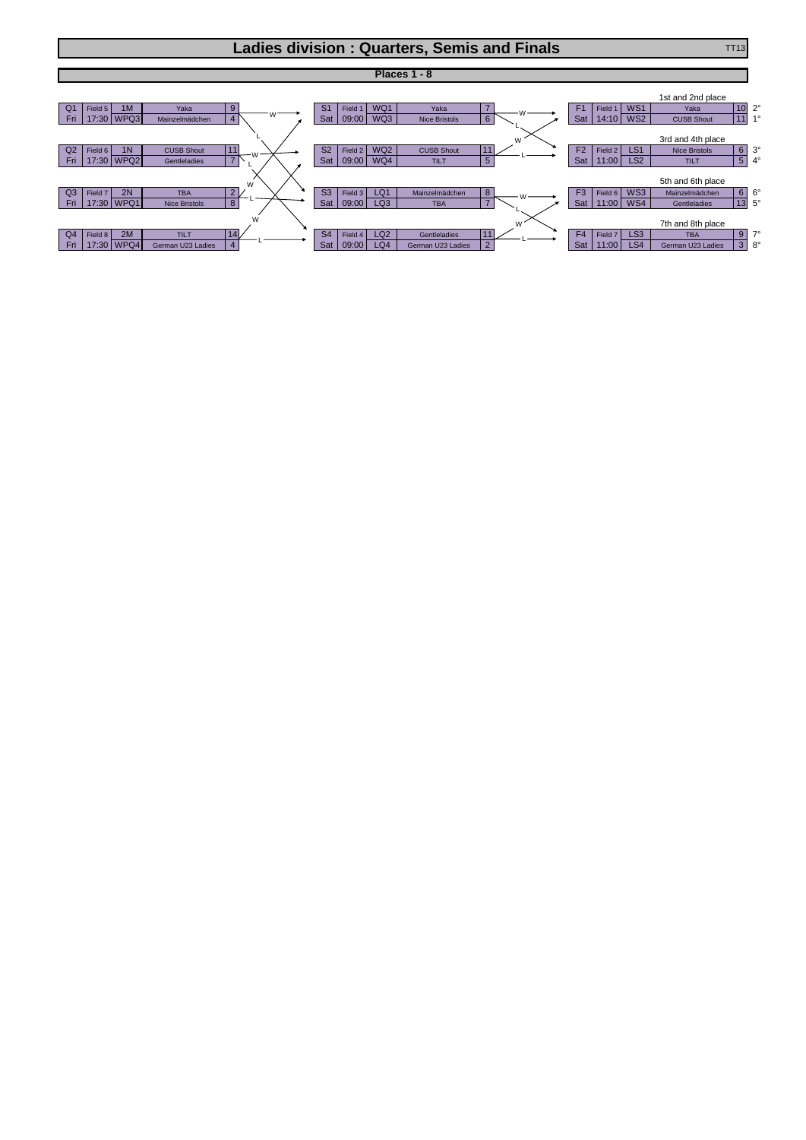## **Ladies division : Quarters, Semis and Finals** TT13